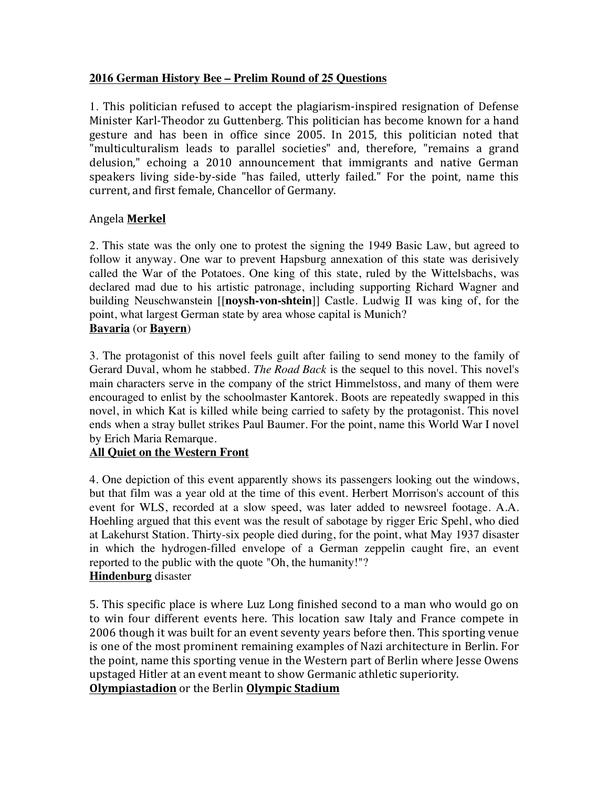### **2016 German History Bee – Prelim Round of 25 Questions**

1. This politician refused to accept the plagiarism-inspired resignation of Defense Minister Karl-Theodor zu Guttenberg. This politician has become known for a hand gesture and has been in office since 2005. In 2015, this politician noted that "multiculturalism leads to parallel societies" and, therefore, "remains a grand delusion," echoing a 2010 announcement that immigrants and native German speakers living side-by-side "has failed, utterly failed." For the point, name this current, and first female, Chancellor of Germany.

#### Angela **Merkel**

2. This state was the only one to protest the signing the 1949 Basic Law, but agreed to follow it anyway. One war to prevent Hapsburg annexation of this state was derisively called the War of the Potatoes. One king of this state, ruled by the Wittelsbachs, was declared mad due to his artistic patronage, including supporting Richard Wagner and building Neuschwanstein [[**noysh-von-shtein**]] Castle. Ludwig II was king of, for the point, what largest German state by area whose capital is Munich? **Bavaria** (or **Bayern**)

3. The protagonist of this novel feels guilt after failing to send money to the family of Gerard Duval, whom he stabbed. *The Road Back* is the sequel to this novel. This novel's main characters serve in the company of the strict Himmelstoss, and many of them were encouraged to enlist by the schoolmaster Kantorek. Boots are repeatedly swapped in this novel, in which Kat is killed while being carried to safety by the protagonist. This novel ends when a stray bullet strikes Paul Baumer. For the point, name this World War I novel by Erich Maria Remarque.

#### **All Quiet on the Western Front**

4. One depiction of this event apparently shows its passengers looking out the windows, but that film was a year old at the time of this event. Herbert Morrison's account of this event for WLS, recorded at a slow speed, was later added to newsreel footage. A.A. Hoehling argued that this event was the result of sabotage by rigger Eric Spehl, who died at Lakehurst Station. Thirty-six people died during, for the point, what May 1937 disaster in which the hydrogen-filled envelope of a German zeppelin caught fire, an event reported to the public with the quote "Oh, the humanity!"? **Hindenburg** disaster

5. This specific place is where Luz Long finished second to a man who would go on to win four different events here. This location saw Italy and France compete in 2006 though it was built for an event seventy years before then. This sporting venue is one of the most prominent remaining examples of Nazi architecture in Berlin. For the point, name this sporting venue in the Western part of Berlin where Jesse Owens upstaged Hitler at an event meant to show Germanic athletic superiority.

**Olympiastadion** or the Berlin **Olympic Stadium**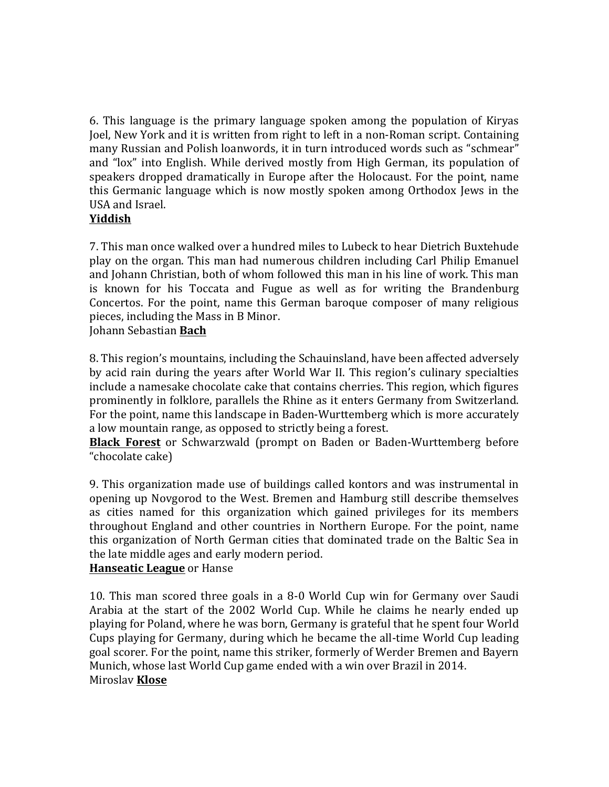6. This language is the primary language spoken among the population of Kiryas Joel, New York and it is written from right to left in a non-Roman script. Containing many Russian and Polish loanwords, it in turn introduced words such as "schmear" and "lox" into English. While derived mostly from High German, its population of speakers dropped dramatically in Europe after the Holocaust. For the point, name this Germanic language which is now mostly spoken among Orthodox Jews in the USA and Israel.

### **Yiddish**

7. This man once walked over a hundred miles to Lubeck to hear Dietrich Buxtehude play on the organ. This man had numerous children including Carl Philip Emanuel and Johann Christian, both of whom followed this man in his line of work. This man is known for his Toccata and Fugue as well as for writing the Brandenburg Concertos. For the point, name this German baroque composer of many religious pieces, including the Mass in B Minor.

Johann Sebastian **Bach**

8. This region's mountains, including the Schauinsland, have been affected adversely by acid rain during the years after World War II. This region's culinary specialties include a namesake chocolate cake that contains cherries. This region, which figures prominently in folklore, parallels the Rhine as it enters Germany from Switzerland. For the point, name this landscape in Baden-Wurttemberg which is more accurately a low mountain range, as opposed to strictly being a forest.

**Black Forest** or Schwarzwald (prompt on Baden or Baden-Wurttemberg before "chocolate cake)

9. This organization made use of buildings called kontors and was instrumental in opening up Novgorod to the West. Bremen and Hamburg still describe themselves as cities named for this organization which gained privileges for its members throughout England and other countries in Northern Europe. For the point, name this organization of North German cities that dominated trade on the Baltic Sea in the late middle ages and early modern period.

### **Hanseatic League** or Hanse

10. This man scored three goals in a 8-0 World Cup win for Germany over Saudi Arabia at the start of the 2002 World Cup. While he claims he nearly ended up playing for Poland, where he was born, Germany is grateful that he spent four World Cups playing for Germany, during which he became the all-time World Cup leading goal scorer. For the point, name this striker, formerly of Werder Bremen and Bayern Munich, whose last World Cup game ended with a win over Brazil in 2014. Miroslav **Klose**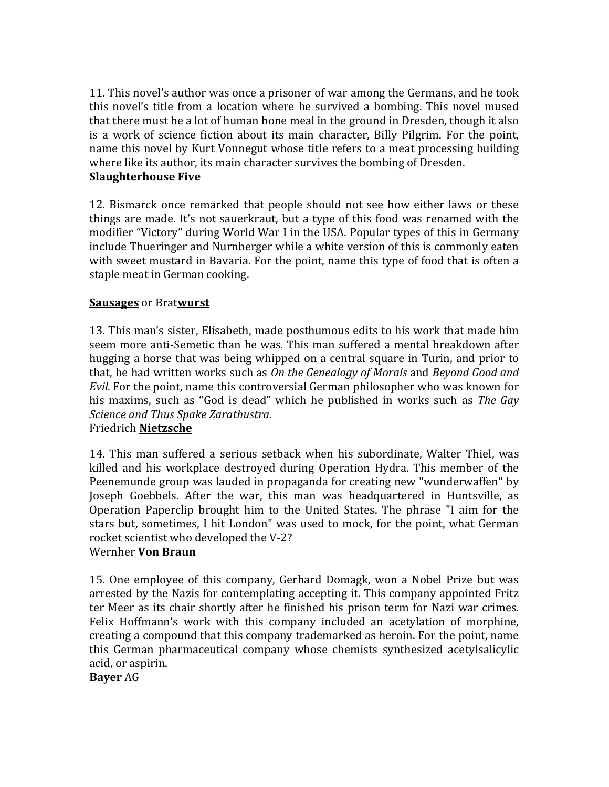11. This novel's author was once a prisoner of war among the Germans, and he took this novel's title from a location where he survived a bombing. This novel mused that there must be a lot of human bone meal in the ground in Dresden, though it also is a work of science fiction about its main character, Billy Pilgrim. For the point, name this novel by Kurt Vonnegut whose title refers to a meat processing building where like its author, its main character survives the bombing of Dresden. **Slaughterhouse Five** 

12. Bismarck once remarked that people should not see how either laws or these things are made. It's not sauerkraut, but a type of this food was renamed with the modifier "Victory" during World War I in the USA. Popular types of this in Germany include Thueringer and Nurnberger while a white version of this is commonly eaten with sweet mustard in Bavaria. For the point, name this type of food that is often a staple meat in German cooking.

### **Sausages** or Bratwurst

13. This man's sister, Elisabeth, made posthumous edits to his work that made him seem more anti-Semetic than he was. This man suffered a mental breakdown after hugging a horse that was being whipped on a central square in Turin, and prior to that, he had written works such as On the Genealogy of Morals and *Beyond Good and Evil.* For the point, name this controversial German philosopher who was known for his maxims, such as "God is dead" which he published in works such as *The Gay Science and Thus Spake Zarathustra*.

# Friedrich **Nietzsche**

14. This man suffered a serious setback when his subordinate, Walter Thiel, was killed and his workplace destroyed during Operation Hydra. This member of the Peenemunde group was lauded in propaganda for creating new "wunderwaffen" by Joseph Goebbels. After the war, this man was headquartered in Huntsville, as Operation Paperclip brought him to the United States. The phrase "I aim for the stars but, sometimes, I hit London" was used to mock, for the point, what German rocket scientist who developed the V-2?

### Wernher **Von Braun**

15. One employee of this company, Gerhard Domagk, won a Nobel Prize but was arrested by the Nazis for contemplating accepting it. This company appointed Fritz ter Meer as its chair shortly after he finished his prison term for Nazi war crimes. Felix Hoffmann's work with this company included an acetylation of morphine, creating a compound that this company trademarked as heroin. For the point, name this German pharmaceutical company whose chemists synthesized acetylsalicylic acid, or aspirin.

**Bayer** AG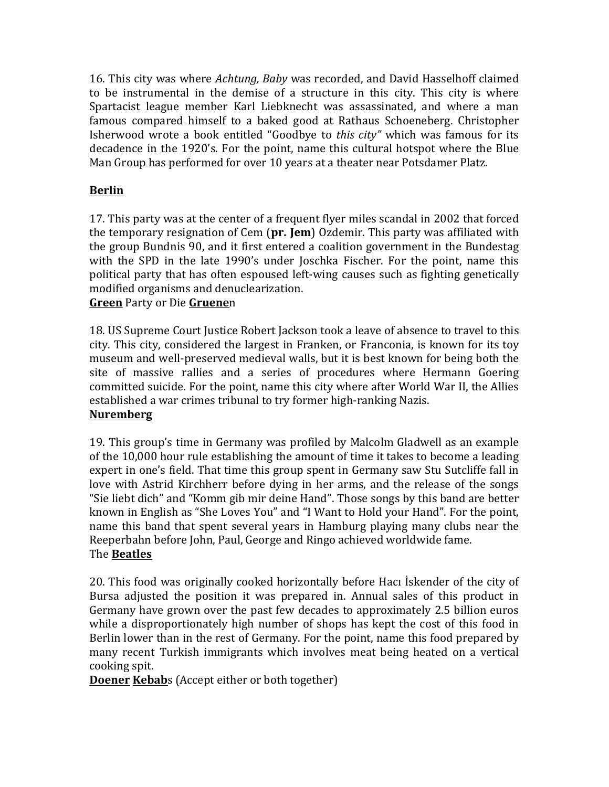16. This city was where *Achtung, Baby* was recorded, and David Hasselhoff claimed to be instrumental in the demise of a structure in this city. This city is where Spartacist league member Karl Liebknecht was assassinated, and where a man famous compared himself to a baked good at Rathaus Schoeneberg. Christopher Isherwood wrote a book entitled "Goodbye to *this city"* which was famous for its decadence in the 1920's. For the point, name this cultural hotspot where the Blue Man Group has performed for over 10 years at a theater near Potsdamer Platz.

# **Berlin**

17. This party was at the center of a frequent flyer miles scandal in 2002 that forced the temporary resignation of Cem (pr. Jem) Ozdemir. This party was affiliated with the group Bundnis 90, and it first entered a coalition government in the Bundestag with the SPD in the late 1990's under Joschka Fischer. For the point, name this political party that has often espoused left-wing causes such as fighting genetically modified organisms and denuclearization.

### **Green** Party or Die **Gruene**n

18. US Supreme Court Justice Robert Jackson took a leave of absence to travel to this city. This city, considered the largest in Franken, or Franconia, is known for its toy museum and well-preserved medieval walls, but it is best known for being both the site of massive rallies and a series of procedures where Hermann Goering committed suicide. For the point, name this city where after World War II, the Allies established a war crimes tribunal to try former high-ranking Nazis.

# **Nuremberg**

19. This group's time in Germany was profiled by Malcolm Gladwell as an example of the  $10,000$  hour rule establishing the amount of time it takes to become a leading expert in one's field. That time this group spent in Germany saw Stu Sutcliffe fall in love with Astrid Kirchherr before dying in her arms, and the release of the songs "Sie liebt dich" and "Komm gib mir deine Hand". Those songs by this band are better known in English as "She Loves You" and "I Want to Hold your Hand". For the point, name this band that spent several vears in Hamburg playing many clubs near the Reeperbahn before John, Paul, George and Ringo achieved worldwide fame. The **Beatles**

20. This food was originally cooked horizontally before Haci Iskender of the city of Bursa adjusted the position it was prepared in. Annual sales of this product in Germany have grown over the past few decades to approximately 2.5 billion euros while a disproportionately high number of shops has kept the cost of this food in Berlin lower than in the rest of Germany. For the point, name this food prepared by many recent Turkish immigrants which involves meat being heated on a vertical cooking spit.

**Doener Kebab**s (Accept either or both together)